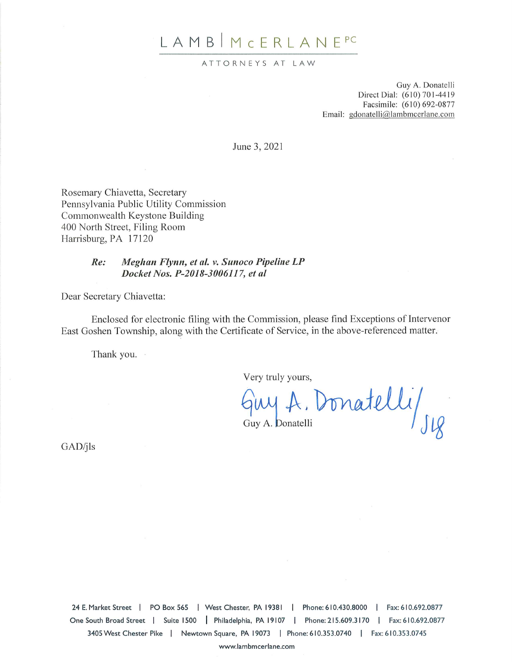# LAMB MCERLANE<sup>PC</sup>

#### ATTORNEYS AT LAW

Guy A. Donatelli Direct Dial: (610) 701-4419 Facsimile: (610) 692-0877 Email: gdonatelli@lambmcerlane.com

June 3, 2021

Rosemary Chiavetta, Secretary Pennsylvania Public Utility Commission Commonwealth Keystone Building 400 North Street, Filing Room Harrisburg, PA 17120

#### Meghan Flynn, et al. v. Sunoco Pipeline LP  $Re:$ Docket Nos. P-2018-3006117, et al.

Dear Secretary Chiavetta:

Enclosed for electronic filing with the Commission, please find Exceptions of Intervenor East Goshen Township, along with the Certificate of Service, in the above-referenced matter.

Thank you.

Very truly yours,

Guy A. Donatelli/ Sig

GAD/jls

24 E. Market Street | PO Box 565 | West Chester, PA 19381 | Phone: 610.430.8000 | Fax: 610.692.0877 One South Broad Street | Suite 1500 | Philadelphia, PA 19107 | Phone: 215.609.3170 | Fax: 610.692.0877 3405 West Chester Pike | Newtown Square, PA 19073 | Phone: 610.353.0740 | Fax: 610.353.0745

www.lambmcerlane.com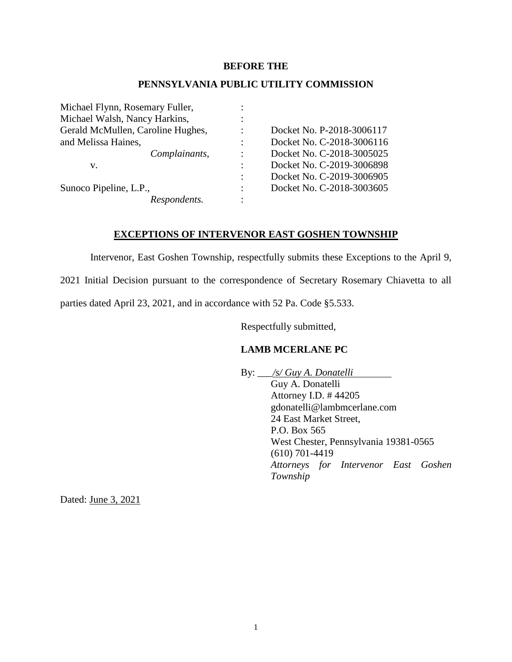#### **BEFORE THE**

#### **PENNSYLVANIA PUBLIC UTILITY COMMISSION**

| Michael Flynn, Rosemary Fuller,   |                      |                           |
|-----------------------------------|----------------------|---------------------------|
| Michael Walsh, Nancy Harkins,     |                      |                           |
| Gerald McMullen, Caroline Hughes, |                      | Docket No. P-2018-3006117 |
| and Melissa Haines,               |                      | Docket No. C-2018-3006116 |
| Complainants,                     |                      | Docket No. C-2018-3005025 |
| V.                                |                      | Docket No. C-2019-3006898 |
|                                   | $\ddot{\phantom{a}}$ | Docket No. C-2019-3006905 |
| Sunoco Pipeline, L.P.,            |                      | Docket No. C-2018-3003605 |
| Respondents.                      |                      |                           |

#### **EXCEPTIONS OF INTERVENOR EAST GOSHEN TOWNSHIP**

Intervenor, East Goshen Township, respectfully submits these Exceptions to the April 9,

2021 Initial Decision pursuant to the correspondence of Secretary Rosemary Chiavetta to all

parties dated April 23, 2021, and in accordance with 52 Pa. Code §5.533.

Respectfully submitted,

#### **LAMB MCERLANE PC**

By: \_\_\_*/s/ Guy A. Donatelli* Guy A. Donatelli Attorney I.D. # 44205 gdonatelli@lambmcerlane.com 24 East Market Street, P.O. Box 565 West Chester, Pennsylvania 19381-0565 (610) 701-4419 *Attorneys for Intervenor East Goshen Township* 

Dated: June 3, 2021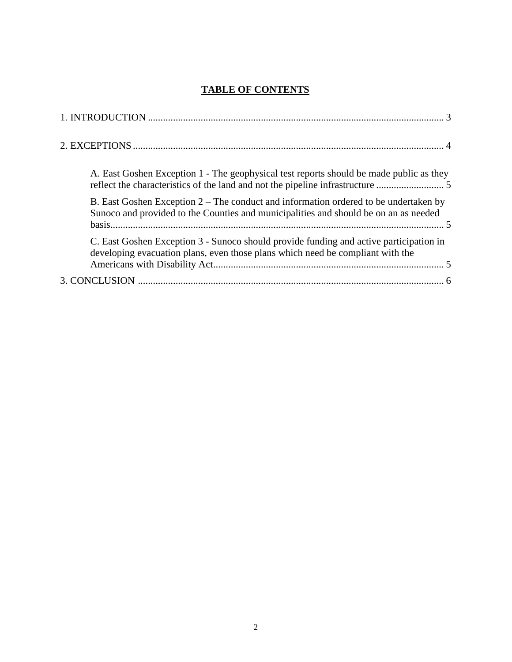## **TABLE OF CONTENTS**

| A. East Goshen Exception 1 - The geophysical test reports should be made public as they<br>reflect the characteristics of the land and not the pipeline infrastructure       |
|------------------------------------------------------------------------------------------------------------------------------------------------------------------------------|
| B. East Goshen Exception 2 – The conduct and information ordered to be undertaken by<br>Sunoco and provided to the Counties and municipalities and should be on an as needed |
| C. East Goshen Exception 3 - Sunoco should provide funding and active participation in<br>developing evacuation plans, even those plans which need be compliant with the     |
|                                                                                                                                                                              |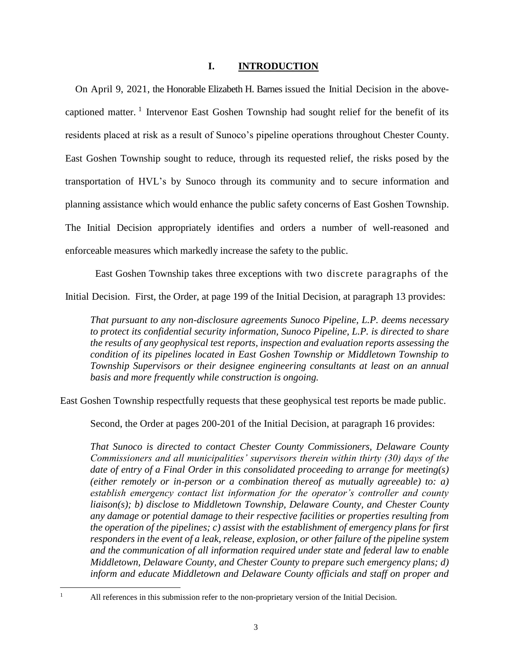#### **I. INTRODUCTION**

On April 9, 2021, the Honorable Elizabeth H. Barnes issued the Initial Decision in the abovecaptioned matter.<sup>1</sup> Intervenor East Goshen Township had sought relief for the benefit of its residents placed at risk as a result of Sunoco's pipeline operations throughout Chester County. East Goshen Township sought to reduce, through its requested relief, the risks posed by the transportation of HVL's by Sunoco through its community and to secure information and planning assistance which would enhance the public safety concerns of East Goshen Township. The Initial Decision appropriately identifies and orders a number of well-reasoned and enforceable measures which markedly increase the safety to the public.

East Goshen Township takes three exceptions with two discrete paragraphs of the Initial Decision. First, the Order, at page 199 of the Initial Decision, at paragraph 13 provides:

*That pursuant to any non-disclosure agreements Sunoco Pipeline, L.P. deems necessary to protect its confidential security information, Sunoco Pipeline, L.P. is directed to share the results of any geophysical test reports, inspection and evaluation reports assessing the condition of its pipelines located in East Goshen Township or Middletown Township to Township Supervisors or their designee engineering consultants at least on an annual basis and more frequently while construction is ongoing.*

East Goshen Township respectfully requests that these geophysical test reports be made public.

Second, the Order at pages 200-201 of the Initial Decision, at paragraph 16 provides:

*That Sunoco is directed to contact Chester County Commissioners, Delaware County Commissioners and all municipalities' supervisors therein within thirty (30) days of the date of entry of a Final Order in this consolidated proceeding to arrange for meeting(s) (either remotely or in-person or a combination thereof as mutually agreeable) to: a) establish emergency contact list information for the operator's controller and county liaison(s); b) disclose to Middletown Township, Delaware County, and Chester County any damage or potential damage to their respective facilities or properties resulting from the operation of the pipelines; c) assist with the establishment of emergency plans for first responders in the event of a leak, release, explosion, or other failure of the pipeline system and the communication of all information required under state and federal law to enable Middletown, Delaware County, and Chester County to prepare such emergency plans; d) inform and educate Middletown and Delaware County officials and staff on proper and* 

 $\mathbf{1}$ 

All references in this submission refer to the non-proprietary version of the Initial Decision.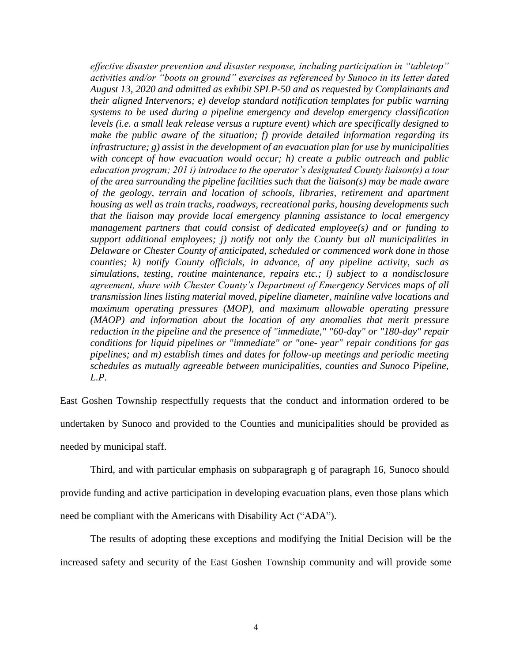*effective disaster prevention and disaster response, including participation in "tabletop" activities and/or "boots on ground" exercises as referenced by Sunoco in its letter dated August 13, 2020 and admitted as exhibit SPLP-50 and as requested by Complainants and their aligned Intervenors; e) develop standard notification templates for public warning systems to be used during a pipeline emergency and develop emergency classification levels (i.e. a small leak release versus a rupture event) which are specifically designed to make the public aware of the situation; f) provide detailed information regarding its infrastructure; g) assist in the development of an evacuation plan for use by municipalities with concept of how evacuation would occur; h) create a public outreach and public education program; 201 i) introduce to the operator's designated County liaison(s) a tour of the area surrounding the pipeline facilities such that the liaison(s) may be made aware of the geology, terrain and location of schools, libraries, retirement and apartment housing as well as train tracks, roadways, recreational parks, housing developments such that the liaison may provide local emergency planning assistance to local emergency management partners that could consist of dedicated employee(s) and or funding to support additional employees; j) notify not only the County but all municipalities in Delaware or Chester County of anticipated, scheduled or commenced work done in those counties; k) notify County officials, in advance, of any pipeline activity, such as simulations, testing, routine maintenance, repairs etc.; l) subject to a nondisclosure agreement, share with Chester County's Department of Emergency Services maps of all transmission lines listing material moved, pipeline diameter, mainline valve locations and maximum operating pressures (MOP), and maximum allowable operating pressure (MAOP) and information about the location of any anomalies that merit pressure reduction in the pipeline and the presence of "immediate," "60-day" or "180-day" repair conditions for liquid pipelines or "immediate" or "one- year" repair conditions for gas pipelines; and m) establish times and dates for follow-up meetings and periodic meeting schedules as mutually agreeable between municipalities, counties and Sunoco Pipeline, L.P.*

East Goshen Township respectfully requests that the conduct and information ordered to be undertaken by Sunoco and provided to the Counties and municipalities should be provided as needed by municipal staff.

Third, and with particular emphasis on subparagraph g of paragraph 16, Sunoco should provide funding and active participation in developing evacuation plans, even those plans which need be compliant with the Americans with Disability Act ("ADA").

The results of adopting these exceptions and modifying the Initial Decision will be the increased safety and security of the East Goshen Township community and will provide some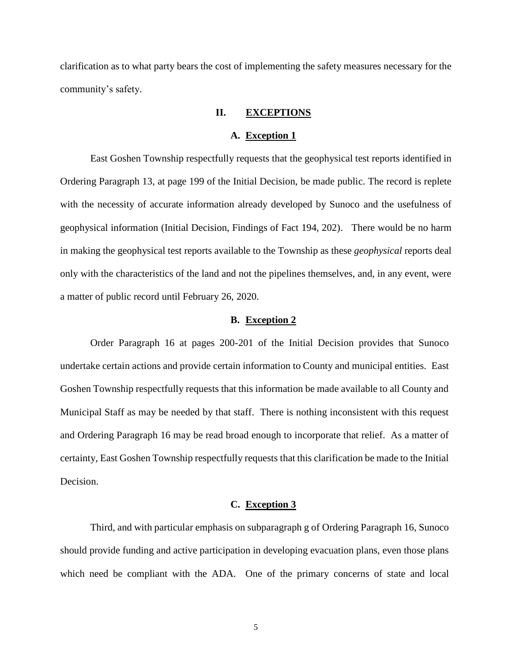clarification as to what party bears the cost of implementing the safety measures necessary for the community's safety.

#### **II. EXCEPTIONS**

#### **A. Exception 1**

East Goshen Township respectfully requests that the geophysical test reports identified in Ordering Paragraph 13, at page 199 of the Initial Decision, be made public. The record is replete with the necessity of accurate information already developed by Sunoco and the usefulness of geophysical information (Initial Decision, Findings of Fact 194, 202). There would be no harm in making the geophysical test reports available to the Township as these *geophysical* reports deal only with the characteristics of the land and not the pipelines themselves, and, in any event, were a matter of public record until February 26, 2020.

#### **B. Exception 2**

Order Paragraph 16 at pages 200-201 of the Initial Decision provides that Sunoco undertake certain actions and provide certain information to County and municipal entities. East Goshen Township respectfully requests that this information be made available to all County and Municipal Staff as may be needed by that staff. There is nothing inconsistent with this request and Ordering Paragraph 16 may be read broad enough to incorporate that relief. As a matter of certainty, East Goshen Township respectfully requests that this clarification be made to the Initial Decision.

#### **C. Exception 3**

Third, and with particular emphasis on subparagraph g of Ordering Paragraph 16, Sunoco should provide funding and active participation in developing evacuation plans, even those plans which need be compliant with the ADA. One of the primary concerns of state and local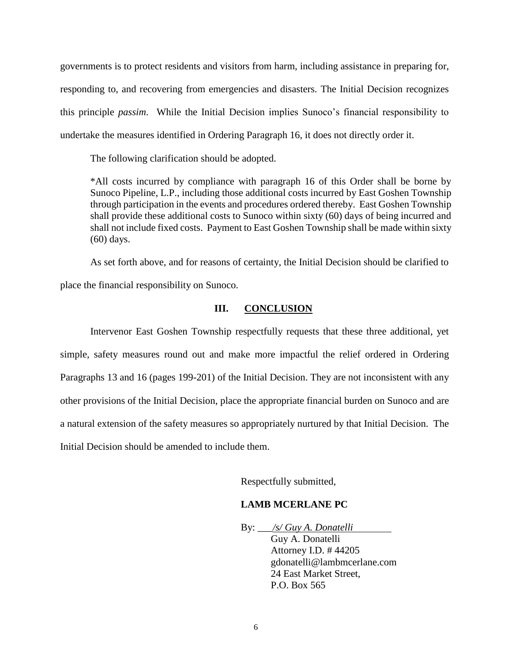governments is to protect residents and visitors from harm, including assistance in preparing for, responding to, and recovering from emergencies and disasters. The Initial Decision recognizes this principle *passim*. While the Initial Decision implies Sunoco's financial responsibility to undertake the measures identified in Ordering Paragraph 16, it does not directly order it.

The following clarification should be adopted.

\*All costs incurred by compliance with paragraph 16 of this Order shall be borne by Sunoco Pipeline, L.P., including those additional costs incurred by East Goshen Township through participation in the events and procedures ordered thereby. East Goshen Township shall provide these additional costs to Sunoco within sixty (60) days of being incurred and shall not include fixed costs. Payment to East Goshen Township shall be made within sixty (60) days.

As set forth above, and for reasons of certainty, the Initial Decision should be clarified to place the financial responsibility on Sunoco.

### **III. CONCLUSION**

Intervenor East Goshen Township respectfully requests that these three additional, yet simple, safety measures round out and make more impactful the relief ordered in Ordering Paragraphs 13 and 16 (pages 199-201) of the Initial Decision. They are not inconsistent with any other provisions of the Initial Decision, place the appropriate financial burden on Sunoco and are a natural extension of the safety measures so appropriately nurtured by that Initial Decision. The Initial Decision should be amended to include them.

Respectfully submitted,

#### **LAMB MCERLANE PC**

By: \_\_\_*/s/ Guy A. Donatelli* Guy A. Donatelli Attorney I.D. # 44205 gdonatelli@lambmcerlane.com 24 East Market Street, P.O. Box 565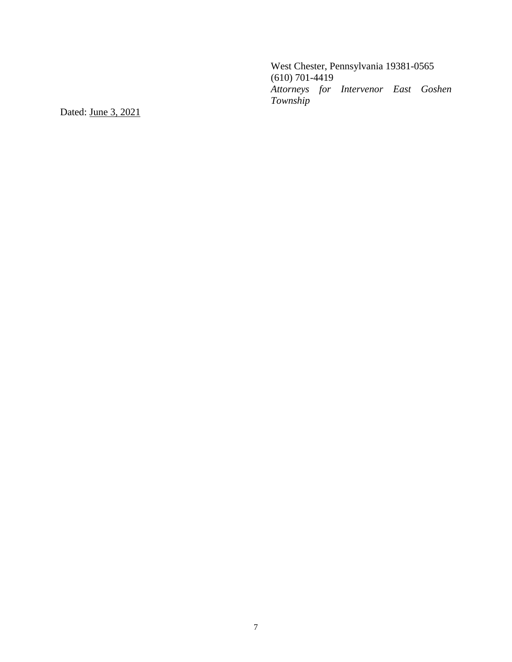West Chester, Pennsylvania 19381-0565 (610) 701-4419 *Attorneys for Intervenor East Goshen Township* 

Dated: June 3, 2021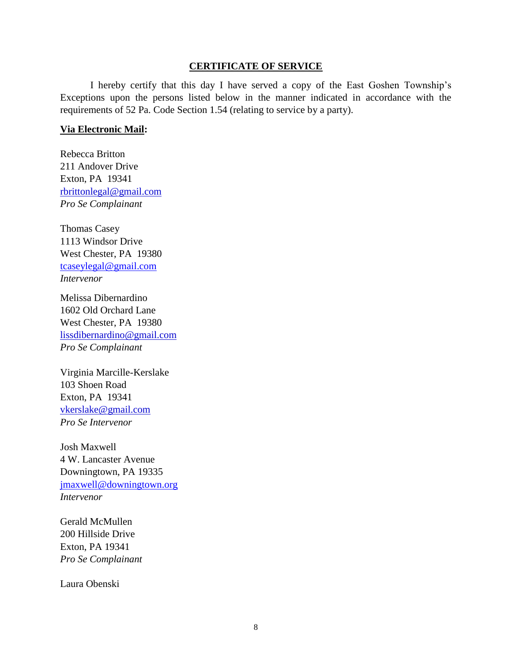#### **CERTIFICATE OF SERVICE**

I hereby certify that this day I have served a copy of the East Goshen Township's Exceptions upon the persons listed below in the manner indicated in accordance with the requirements of 52 Pa. Code Section 1.54 (relating to service by a party).

#### **Via Electronic Mail:**

Rebecca Britton 211 Andover Drive Exton, PA 19341 rbrittonlegal@gmail.com *Pro Se Complainant*

Thomas Casey 1113 Windsor Drive West Chester, PA 19380 [tcaseylegal@gmail.com](mailto:tcaseylegal@gmail.com) *Intervenor*

Melissa Dibernardino 1602 Old Orchard Lane West Chester, PA 19380 lissdibernardino@gmail.com *Pro Se Complainant*

Virginia Marcille-Kerslake 103 Shoen Road Exton, PA 19341 vkerslake@gmail.com *Pro Se Intervenor*

Josh Maxwell 4 W. Lancaster Avenue Downingtown, PA 19335 [jmaxwell@downingtown.org](mailto:jmaxwell@downingtown.org) *Intervenor*

Gerald McMullen 200 Hillside Drive Exton, PA 19341 *Pro Se Complainant*

Laura Obenski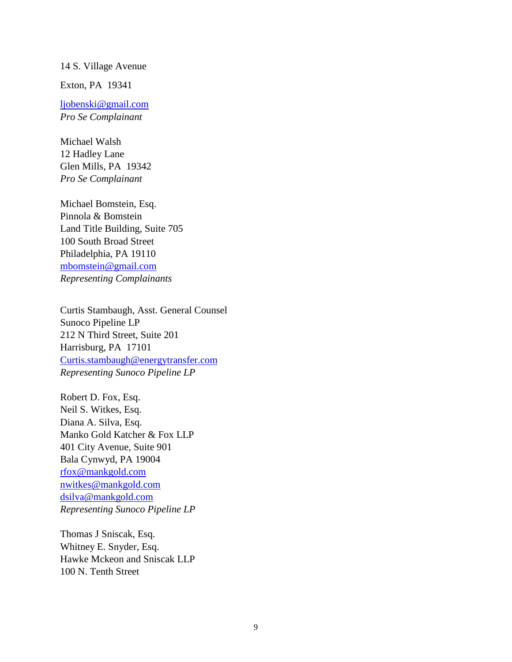#### 14 S. Village Avenue

Exton, PA 19341

ljobenski@gmail.com *Pro Se Complainant*

Michael Walsh 12 Hadley Lane Glen Mills, PA 19342 *Pro Se Complainant*

Michael Bomstein, Esq. Pinnola & Bomstein Land Title Building, Suite 705 100 South Broad Street Philadelphia, PA 19110 [mbomstein@gmail.com](mailto:mbomstein@gmail.com) *Representing Complainants*

Curtis Stambaugh, Asst. General Counsel Sunoco Pipeline LP 212 N Third Street, Suite 201 Harrisburg, PA 17101 Curtis.stambaugh@energytransfer.com *Representing Sunoco Pipeline LP*

Robert D. Fox, Esq. Neil S. Witkes, Esq. Diana A. Silva, Esq. Manko Gold Katcher & Fox LLP 401 City Avenue, Suite 901 Bala Cynwyd, PA 19004 [rfox@mankgold.com](mailto:rfox@mankgold.com) nwitkes@mankgold.com dsilva@mankgold.com *Representing Sunoco Pipeline LP*

Thomas J Sniscak, Esq. Whitney E. Snyder, Esq. Hawke Mckeon and Sniscak LLP 100 N. Tenth Street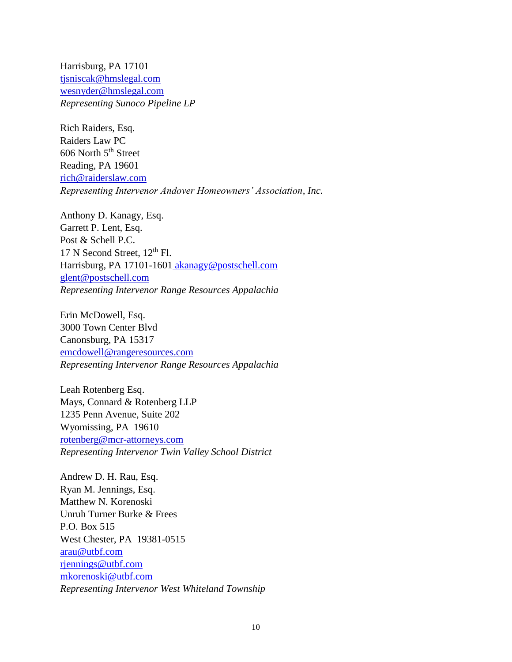Harrisburg, PA 17101 tjsniscak@hmslegal.com wesnyder@hmslegal.com *Representing Sunoco Pipeline LP*

Rich Raiders, Esq. Raiders Law PC 606 North 5<sup>th</sup> Street Reading, PA 19601 rich@raiderslaw.com *Representing Intervenor Andover Homeowners' Association, Inc.*

Anthony D. Kanagy, Esq. Garrett P. Lent, Esq. Post & Schell P.C. 17 N Second Street,  $12<sup>th</sup>$  Fl. Harrisburg, PA 17101-1601 [akanagy@postschell.com](mailto:akanagy@postschell.com) glent@postschell.com *Representing Intervenor Range Resources Appalachia*

Erin McDowell, Esq. 3000 Town Center Blvd Canonsburg, PA 15317 emcdowell@rangeresources.com *Representing Intervenor Range Resources Appalachia* 

Leah Rotenberg Esq. Mays, Connard & Rotenberg LLP 1235 Penn Avenue, Suite 202 Wyomissing, PA 19610 rotenberg@mcr-attorneys.com *Representing Intervenor Twin Valley School District* 

Andrew D. H. Rau, Esq. Ryan M. Jennings, Esq. Matthew N. Korenoski Unruh Turner Burke & Frees P.O. Box 515 West Chester, PA 19381-0515 [arau@utbf.com](mailto:arau@utbf.com) [rjennings@utbf.com](mailto:rjennings@utbf.com) [mkorenoski@utbf.com](mailto:mkorenoski@utbf.com) *Representing Intervenor West Whiteland Township*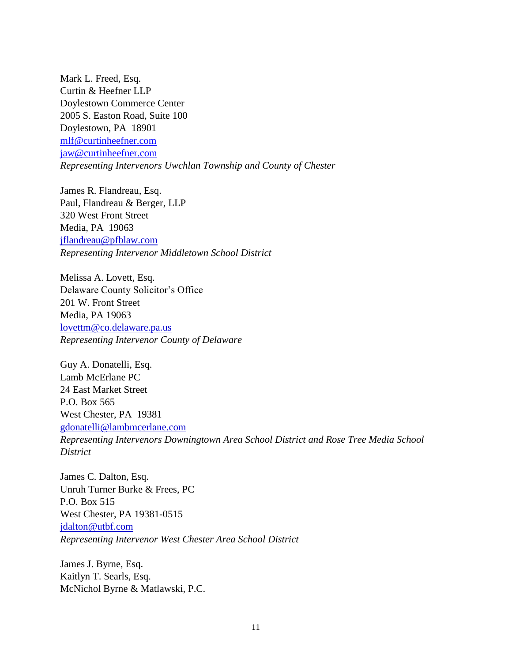Mark L. Freed, Esq. Curtin & Heefner LLP Doylestown Commerce Center 2005 S. Easton Road, Suite 100 Doylestown, PA 18901 [mlf@curtinheefner.com](mailto:mlf@curtinheefner.com) [jaw@curtinheefner.com](mailto:jaw@curtinheefner.com) *Representing Intervenors Uwchlan Township and County of Chester*

James R. Flandreau, Esq. Paul, Flandreau & Berger, LLP 320 West Front Street Media, PA 19063 jflandreau@pfblaw.com *Representing Intervenor Middletown School District*

Melissa A. Lovett, Esq. Delaware County Solicitor's Office 201 W. Front Street Media, PA 19063 lovettm@co.delaware.pa.us *Representing Intervenor County of Delaware* 

Guy A. Donatelli, Esq. Lamb McErlane PC 24 East Market Street P.O. Box 565 West Chester, PA 19381 gdonatelli@lambmcerlane.com *Representing Intervenors Downingtown Area School District and Rose Tree Media School District* 

James C. Dalton, Esq. Unruh Turner Burke & Frees, PC P.O. Box 515 West Chester, PA 19381-0515 jdalton@utbf.com *Representing Intervenor West Chester Area School District* 

James J. Byrne, Esq. Kaitlyn T. Searls, Esq. McNichol Byrne & Matlawski, P.C.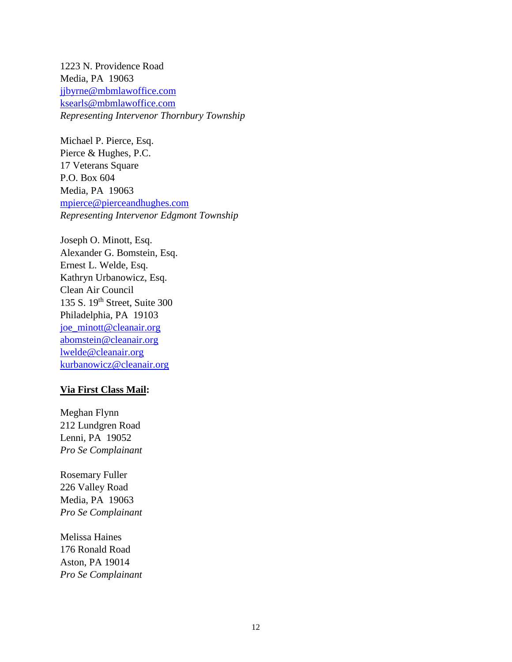1223 N. Providence Road Media, PA 19063 [jjbyrne@mbmlawoffice.com](mailto:jjbyrne@mbmlawoffice.com) ksearls@mbmlawoffice.com *Representing Intervenor Thornbury Township* 

Michael P. Pierce, Esq. Pierce & Hughes, P.C. 17 Veterans Square P.O. Box 604 Media, PA 19063 [mpierce@pierceandhughes.com](mailto:mpierce@pierceandhughes.com) *Representing Intervenor Edgmont Township*

Joseph O. Minott, Esq. Alexander G. Bomstein, Esq. Ernest L. Welde, Esq. Kathryn Urbanowicz, Esq. Clean Air Council 135 S. 19th Street, Suite 300 Philadelphia, PA 19103 [joe\\_minott@cleanair.org](mailto:joe_minott@cleanair.org) [abomstein@cleanair.org](mailto:abomstein@cleanair.org) [lwelde@cleanair.org](mailto:lwelde@cleanair.org) [kurbanowicz@cleanair.org](mailto:kurbanowicz@cleanair.org)

#### **Via First Class Mail:**

Meghan Flynn 212 Lundgren Road Lenni, PA 19052 *Pro Se Complainant*

Rosemary Fuller 226 Valley Road Media, PA 19063 *Pro Se Complainant*

Melissa Haines 176 Ronald Road Aston, PA 19014 *Pro Se Complainant*